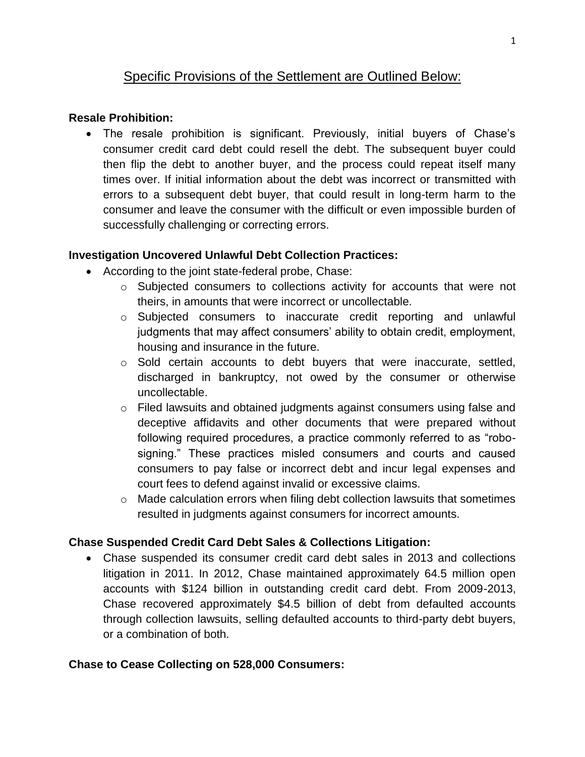# Specific Provisions of the Settlement are Outlined Below:

#### **Resale Prohibition:**

 The resale prohibition is significant. Previously, initial buyers of Chase's consumer credit card debt could resell the debt. The subsequent buyer could then flip the debt to another buyer, and the process could repeat itself many times over. If initial information about the debt was incorrect or transmitted with errors to a subsequent debt buyer, that could result in long-term harm to the consumer and leave the consumer with the difficult or even impossible burden of successfully challenging or correcting errors.

## **Investigation Uncovered Unlawful Debt Collection Practices:**

- According to the joint state-federal probe, Chase:
	- o Subjected consumers to collections activity for accounts that were not theirs, in amounts that were incorrect or uncollectable.
	- $\circ$  Subjected consumers to inaccurate credit reporting and unlawful judgments that may affect consumers' ability to obtain credit, employment, housing and insurance in the future.
	- o Sold certain accounts to debt buyers that were inaccurate, settled, discharged in bankruptcy, not owed by the consumer or otherwise uncollectable.
	- $\circ$  Filed lawsuits and obtained judgments against consumers using false and deceptive affidavits and other documents that were prepared without following required procedures, a practice commonly referred to as "robosigning." These practices misled consumers and courts and caused consumers to pay false or incorrect debt and incur legal expenses and court fees to defend against invalid or excessive claims.
	- o Made calculation errors when filing debt collection lawsuits that sometimes resulted in judgments against consumers for incorrect amounts.

## **Chase Suspended Credit Card Debt Sales & Collections Litigation:**

 Chase suspended its consumer credit card debt sales in 2013 and collections litigation in 2011. In 2012, Chase maintained approximately 64.5 million open accounts with \$124 billion in outstanding credit card debt. From 2009-2013, Chase recovered approximately \$4.5 billion of debt from defaulted accounts through collection lawsuits, selling defaulted accounts to third-party debt buyers, or a combination of both.

#### **Chase to Cease Collecting on 528,000 Consumers:**